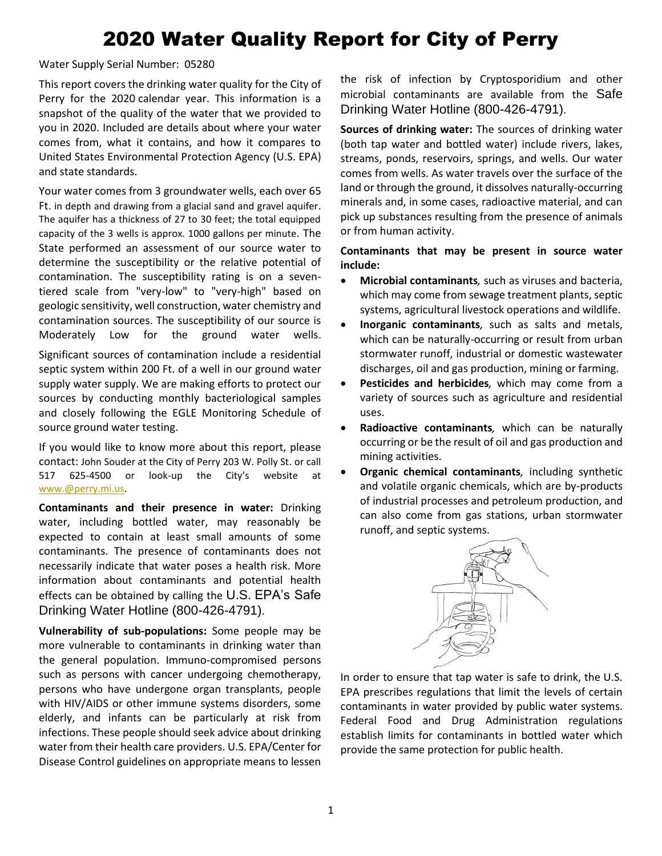## 2020 Water Quality Report for City of Perry

Water Supply Serial Number: 05280

This report covers the drinking water quality for the City of Perry for the 2020 calendar year. This information is a snapshot of the quality of the water that we provided to you in 2020. Included are details about where your water comes from, what it contains, and how it compares to United States Environmental Protection Agency (U.S. EPA) and state standards.

Your water comes from 3 groundwater wells, each over 65 Ft. in depth and drawing from a glacial sand and gravel aquifer. The aquifer has a thickness of 27 to 30 feet; the total equipped capacity of the 3 wells is approx. 1000 gallons per minute. The State performed an assessment of our source water to determine the susceptibility or the relative potential of contamination. The susceptibility rating is on a seventiered scale from "very-low" to "very-high" based on geologic sensitivity, well construction, water chemistry and contamination sources. The susceptibility of our source is Moderately Low for the ground water wells.

Significant sources of contamination include a residential septic system within 200 Ft. of a well in our ground water supply water supply. We are making efforts to protect our sources by conducting monthly bacteriological samples and closely following the EGLE Monitoring Schedule of source ground water testing.

If you would like to know more about this report, please contact: John Souder at the City of Perry 203 W. Polly St. or call 517 625-4500 or look-up the City's website at [www.@perry.mi.us.](http://www.@perry.mi.us)

**Contaminants and their presence in water:** Drinking water, including bottled water, may reasonably be expected to contain at least small amounts of some contaminants. The presence of contaminants does not necessarily indicate that water poses a health risk. More information about contaminants and potential health effects can be obtained by calling the U.S. EPA's Safe Drinking Water Hotline (800-426-4791).

**Vulnerability of sub-populations:** Some people may be more vulnerable to contaminants in drinking water than the general population. Immuno-compromised persons such as persons with cancer undergoing chemotherapy, persons who have undergone organ transplants, people with HIV/AIDS or other immune systems disorders, some elderly, and infants can be particularly at risk from infections. These people should seek advice about drinking water from their health care providers. U.S. EPA/Center for Disease Control guidelines on appropriate means to lessen

the risk of infection by Cryptosporidium and other microbial contaminants are available from the Safe Drinking Water Hotline (800-426-4791).

**Sources of drinking water:** The sources of drinking water (both tap water and bottled water) include rivers, lakes, streams, ponds, reservoirs, springs, and wells. Our water comes from wells. As water travels over the surface of the land or through the ground, it dissolves naturally-occurring minerals and, in some cases, radioactive material, and can pick up substances resulting from the presence of animals or from human activity.

## **Contaminants that may be present in source water include:**

- **Microbial contaminants***,* such as viruses and bacteria, which may come from sewage treatment plants, septic systems, agricultural livestock operations and wildlife.
- **Inorganic contaminants***,* such as salts and metals, which can be naturally-occurring or result from urban stormwater runoff, industrial or domestic wastewater discharges, oil and gas production, mining or farming.
- **Pesticides and herbicides***,* which may come from a variety of sources such as agriculture and residential uses.
- **Radioactive contaminants***,* which can be naturally occurring or be the result of oil and gas production and mining activities.
- **Organic chemical contaminants***,* including synthetic and volatile organic chemicals, which are by-products of industrial processes and petroleum production, and can also come from gas stations, urban stormwater runoff, and septic systems.



In order to ensure that tap water is safe to drink, the U.S. EPA prescribes regulations that limit the levels of certain contaminants in water provided by public water systems. Federal Food and Drug Administration regulations establish limits for contaminants in bottled water which provide the same protection for public health.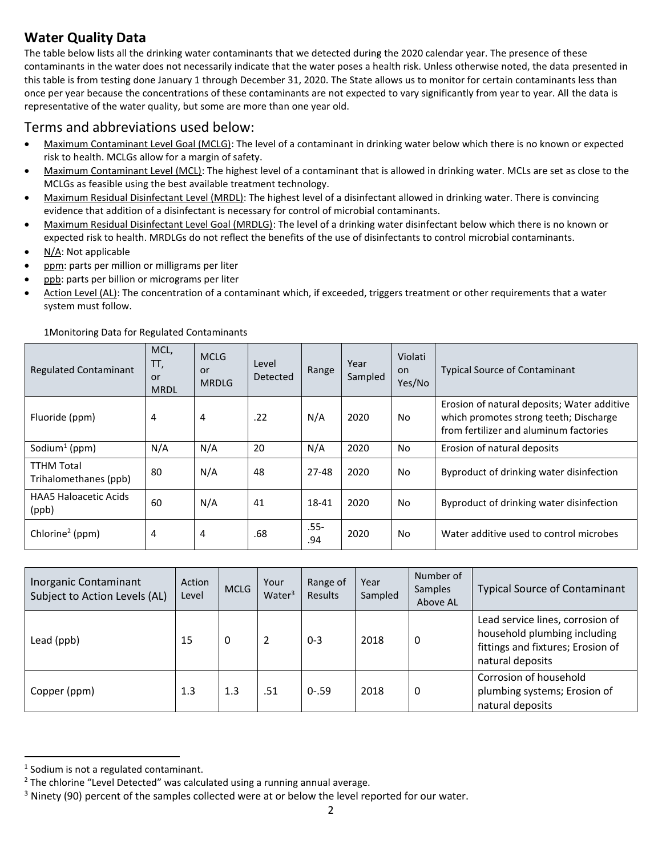## **Water Quality Data**

The table below lists all the drinking water contaminants that we detected during the 2020 calendar year. The presence of these contaminants in the water does not necessarily indicate that the water poses a health risk. Unless otherwise noted, the data presented in this table is from testing done January 1 through December 31, 2020. The State allows us to monitor for certain contaminants less than once per year because the concentrations of these contaminants are not expected to vary significantly from year to year. All the data is representative of the water quality, but some are more than one year old.

## Terms and abbreviations used below:

- Maximum Contaminant Level Goal (MCLG): The level of a contaminant in drinking water below which there is no known or expected risk to health. MCLGs allow for a margin of safety.
- Maximum Contaminant Level (MCL): The highest level of a contaminant that is allowed in drinking water. MCLs are set as close to the MCLGs as feasible using the best available treatment technology.
- Maximum Residual Disinfectant Level (MRDL): The highest level of a disinfectant allowed in drinking water. There is convincing evidence that addition of a disinfectant is necessary for control of microbial contaminants.
- Maximum Residual Disinfectant Level Goal (MRDLG): The level of a drinking water disinfectant below which there is no known or expected risk to health. MRDLGs do not reflect the benefits of the use of disinfectants to control microbial contaminants.
- N/A: Not applicable
- ppm: parts per million or milligrams per liter
- ppb: parts per billion or micrograms per liter
- Action Level (AL): The concentration of a contaminant which, if exceeded, triggers treatment or other requirements that a water system must follow.

| <b>Regulated Contaminant</b>               | MCL,<br>TT,<br>or<br><b>MRDL</b> | <b>MCLG</b><br>or<br><b>MRDLG</b> | Level<br>Detected | Range         | Year<br>Sampled | Violati<br>on.<br>Yes/No | <b>Typical Source of Contaminant</b>                                                                                            |
|--------------------------------------------|----------------------------------|-----------------------------------|-------------------|---------------|-----------------|--------------------------|---------------------------------------------------------------------------------------------------------------------------------|
| Fluoride (ppm)                             | 4                                | 4                                 | .22               | N/A           | 2020            | No.                      | Erosion of natural deposits; Water additive<br>which promotes strong teeth; Discharge<br>from fertilizer and aluminum factories |
| Sodium <sup>1</sup> (ppm)                  | N/A                              | N/A                               | 20                | N/A           | 2020            | No.                      | Erosion of natural deposits                                                                                                     |
| <b>TTHM Total</b><br>Trihalomethanes (ppb) | 80                               | N/A                               | 48                | $27 - 48$     | 2020            | No.                      | Byproduct of drinking water disinfection                                                                                        |
| <b>HAA5 Haloacetic Acids</b><br>(ppb)      | 60                               | N/A                               | 41                | 18-41         | 2020            | No                       | Byproduct of drinking water disinfection                                                                                        |
| Chlorine <sup>2</sup> (ppm)                | 4                                | 4                                 | .68               | $.55-$<br>.94 | 2020            | No.                      | Water additive used to control microbes                                                                                         |

1Monitoring Data for Regulated Contaminants

| Inorganic Contaminant<br>Subject to Action Levels (AL) | Action<br>Level | <b>MCLG</b> | Your<br>Water <sup>3</sup> | Range of<br>Results | Year<br>Sampled | Number of<br><b>Samples</b><br>Above AL | <b>Typical Source of Contaminant</b>                                                                                      |
|--------------------------------------------------------|-----------------|-------------|----------------------------|---------------------|-----------------|-----------------------------------------|---------------------------------------------------------------------------------------------------------------------------|
| Lead (ppb)                                             | 15              | 0           | $\overline{2}$             | $0 - 3$             | 2018            | 0                                       | Lead service lines, corrosion of<br>household plumbing including<br>fittings and fixtures; Erosion of<br>natural deposits |
| Copper (ppm)                                           | 1.3             | 1.3         | .51                        | $0 - .59$           | 2018            | 0                                       | Corrosion of household<br>plumbing systems; Erosion of<br>natural deposits                                                |

<sup>&</sup>lt;sup>1</sup> Sodium is not a regulated contaminant.

 $2$  The chlorine "Level Detected" was calculated using a running annual average.

 $3$  Ninety (90) percent of the samples collected were at or below the level reported for our water.